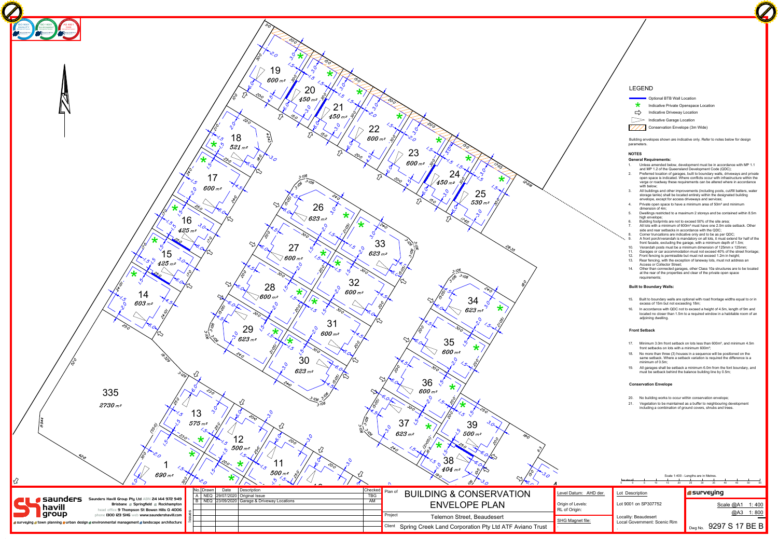|         |                                     |                 |                      |    |                           |    | Scale 1:400 - Lengths are in Metres. |    |                  |    |     |    |       |
|---------|-------------------------------------|-----------------|----------------------|----|---------------------------|----|--------------------------------------|----|------------------|----|-----|----|-------|
|         | ليستسيط<br>5                        | 0               | 5                    | 10 | 15                        | 20 | 25                                   | 30 | 35               | 40 | 45  | 50 | 55    |
| HD der. |                                     | Lot Description |                      |    |                           |    |                                      |    | <b>Surveying</b> |    |     |    |       |
|         | Lot 9001 on SP307752                |                 |                      |    | Scale @A1<br>1:400        |    |                                      |    |                  |    |     |    |       |
|         |                                     |                 | Locality: Beaudesert |    |                           |    |                                      |    |                  |    | @A3 |    | 1:800 |
|         | <b>Local Government: Scenic Rim</b> |                 |                      |    | 9297 S 17 BE B<br>Dwg No. |    |                                      |    |                  |    |     |    |       |

Building envelopes shown are indicative only. Refer to notes below for design parameters.

**Click to Buy Now!** 

### **NOTES**

**General Requirements:**

- 15. Built to boundary walls are optional with road frontage widths equal to or in excess of 15m but not exceeding 18m;
- 16. In accordance with QDC not to exceed a height of 4.5m, length of 9m and located no closer than 1.5m to a required window in a habitable room of an adjoining dwelling.
- 1. Unless amended below, development must be in accordance with MP 1.1 and MP 1.2 of the Queensland Development Code (QDC);
- 2. Preferred location of garages, built to boundary walls, driveways and private open space is indicated. Where conflicts occur with infrastructure within the verge or roadway these requirements can be altered where in accordance with below;
- 3. All buildings and other improvements (including pools, cut/fill batters, water storage tanks) shall be located entirely within the designated building envelope, except for access driveways and services;
- 4. Private open space to have a minimum area of 50m<sup>2</sup> and minimum dimension of 4m;
- 5. Dwellings restricted to a maximum 2 storeys and be contained within 8.5m high envelope; 6. Building footprints are not to exceed 50% of the site area;
- 7. All lots with a minimum of 600m<sup>2</sup> must have one 2.0m side setback. Other side and rear setbacks in accordance with the QDC;
- Corner truncations are indicative only and to be as per QDC; A front porch/verandah is mandatory on all lots, it must extend for half of the front facade, excluding the garage, with a minimum depth of 1.5m;
- 10. Verandah posts must be a minimum dimension of 125mm x 125mm;
- 11. Garages or car accommodation must not exceed 40% of the street frontage;
- 12. Front fencing is permissible but must not exceed 1.2m in height; 13. Rear fencing, with the exception of laneway lots, must not address an Access or Collector Street;
- 14. Other than connected garages, other Class 10a structures are to be located at the rear of the properties and clear of the private open space requirements;



### **Built to Boundary Walls:**

## **Front Setback**

- 17. Minimum 3.0m front setback on lots less than 600m², and minimum 4.5m front setbacks on lots with a minimum 600m²;
- 18. No more than three (3) houses in a sequence will be positioned on the same setback. Where a setback variation is required the difference is a minimum of 0.5m;
- 19. All garages shall be setback a minimum 6.0m from the font boundary, and must be setback behind the balance building line by 0.5m;

# **Conservation Envelope**

- 20. No building works to occur within conservation envelope;
- 21. Vegetation to be maintained as a buffer to neighbouring development including a combination of ground covers, shrubs and trees.

# LEGEND

**COPTION COPTION IS A DETA COPTION** 

- $\star$  Indicative Private Openspace Location
- $\Rightarrow$

Indicative Driveway Location

Indicative Garage Location

Conservation Envelope (3m Wide)

**<sup>P</sup>DF-XCha<sup>n</sup>g<sup>e</sup> <sup>E</sup>dito<sup>r</sup>**

**www**

**.tracker-software.co<sup>m</sup>**